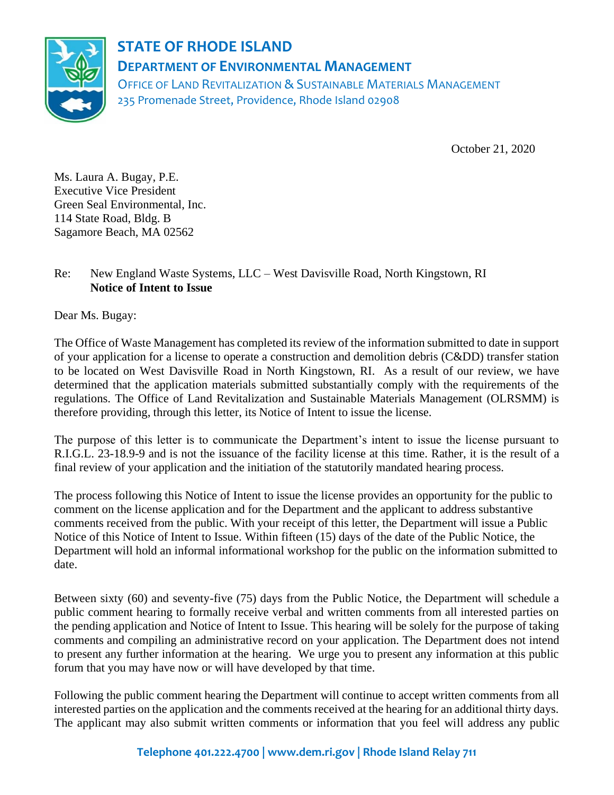

## **STATE OF RHODE ISLAND DEPARTMENT OF ENVIRONMENTAL MANAGEMENT**

OFFICE OF LAND REVITALIZATION & SUSTAINABLE MATERIALS MANAGEMENT 235 Promenade Street, Providence, Rhode Island 02908

October 21, 2020

Ms. Laura A. Bugay, P.E. Executive Vice President Green Seal Environmental, Inc. 114 State Road, Bldg. B Sagamore Beach, MA 02562

## Re: New England Waste Systems, LLC – West Davisville Road, North Kingstown, RI **Notice of Intent to Issue**

Dear Ms. Bugay:

The Office of Waste Management has completed its review of the information submitted to date in support of your application for a license to operate a construction and demolition debris (C&DD) transfer station to be located on West Davisville Road in North Kingstown, RI. As a result of our review, we have determined that the application materials submitted substantially comply with the requirements of the regulations. The Office of Land Revitalization and Sustainable Materials Management (OLRSMM) is therefore providing, through this letter, its Notice of Intent to issue the license.

The purpose of this letter is to communicate the Department's intent to issue the license pursuant to R.I.G.L. 23-18.9-9 and is not the issuance of the facility license at this time. Rather, it is the result of a final review of your application and the initiation of the statutorily mandated hearing process.

The process following this Notice of Intent to issue the license provides an opportunity for the public to comment on the license application and for the Department and the applicant to address substantive comments received from the public. With your receipt of this letter, the Department will issue a Public Notice of this Notice of Intent to Issue. Within fifteen (15) days of the date of the Public Notice, the Department will hold an informal informational workshop for the public on the information submitted to date.

Between sixty (60) and seventy-five (75) days from the Public Notice, the Department will schedule a public comment hearing to formally receive verbal and written comments from all interested parties on the pending application and Notice of Intent to Issue. This hearing will be solely for the purpose of taking comments and compiling an administrative record on your application. The Department does not intend to present any further information at the hearing. We urge you to present any information at this public forum that you may have now or will have developed by that time.

Following the public comment hearing the Department will continue to accept written comments from all interested parties on the application and the comments received at the hearing for an additional thirty days. The applicant may also submit written comments or information that you feel will address any public